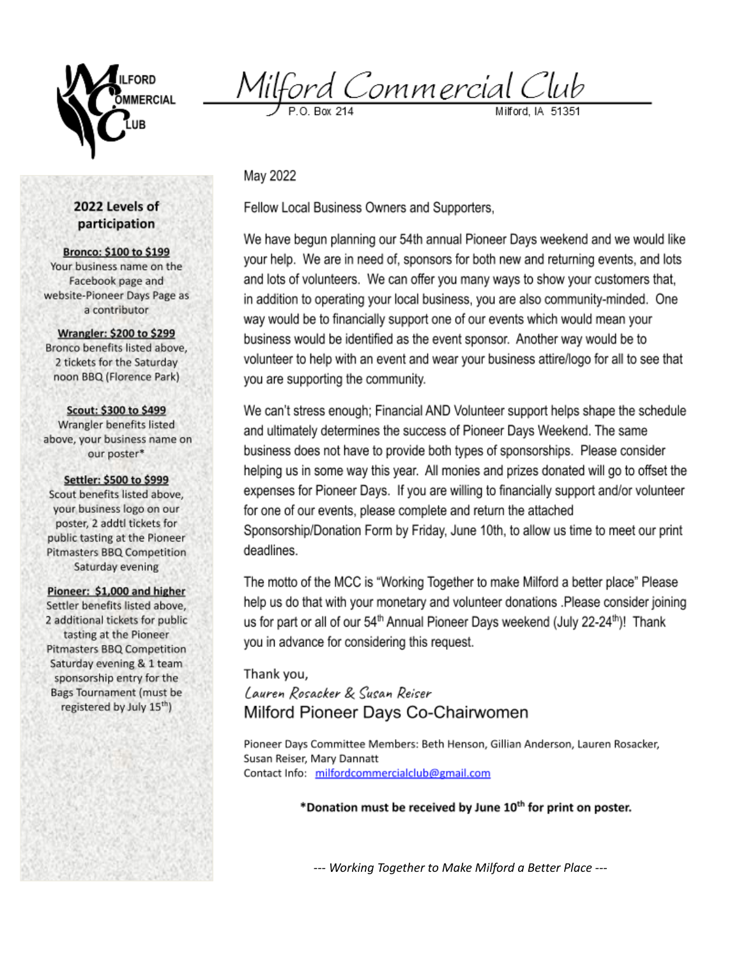

Milford Commercial Club

May 2022

Fellow Local Business Owners and Supporters,

We have begun planning our 54th annual Pioneer Days weekend and we would like your help. We are in need of, sponsors for both new and returning events, and lots and lots of volunteers. We can offer you many ways to show your customers that, in addition to operating your local business, you are also community-minded. One way would be to financially support one of our events which would mean your business would be identified as the event sponsor. Another way would be to volunteer to help with an event and wear your business attire/logo for all to see that you are supporting the community.

We can't stress enough; Financial AND Volunteer support helps shape the schedule and ultimately determines the success of Pioneer Days Weekend. The same business does not have to provide both types of sponsorships. Please consider helping us in some way this year. All monies and prizes donated will go to offset the expenses for Pioneer Days. If you are willing to financially support and/or volunteer for one of our events, please complete and return the attached Sponsorship/Donation Form by Friday, June 10th, to allow us time to meet our print deadlines.

The motto of the MCC is "Working Together to make Milford a better place" Please help us do that with your monetary and volunteer donations .Please consider joining us for part or all of our 54<sup>th</sup> Annual Pioneer Days weekend (July 22-24<sup>th</sup>)! Thank you in advance for considering this request.

Thank you. Lauren Rosacker & Susan Reiser Milford Pioneer Days Co-Chairwomen

Pioneer Days Committee Members: Beth Henson, Gillian Anderson, Lauren Rosacker, Susan Reiser, Mary Dannatt Contact Info: milfordcommercialclub@gmail.com

\*Donation must be received by June 10<sup>th</sup> for print on poster.

--- Working Together to Make Milford a Better Place ---

## 2022 Levels of participation

**Bronco: \$100 to \$199** Your business name on the Facebook page and website-Pioneer Days Page as a contributor

**Wrangler: \$200 to \$299** Bronco benefits listed above, 2 tickets for the Saturday noon BBQ (Florence Park)

Scout: \$300 to \$499 Wrangler benefits listed above, your business name on our poster\*

Settler: \$500 to \$999 Scout benefits listed above, your business logo on our poster, 2 addtl tickets for public tasting at the Pioneer Pitmasters BBQ Competition Saturday evening

Pioneer: \$1,000 and higher Settler benefits listed above, 2 additional tickets for public tasting at the Pioneer Pitmasters BBQ Competition Saturday evening & 1 team sponsorship entry for the Bags Tournament (must be registered by July 15<sup>th</sup>)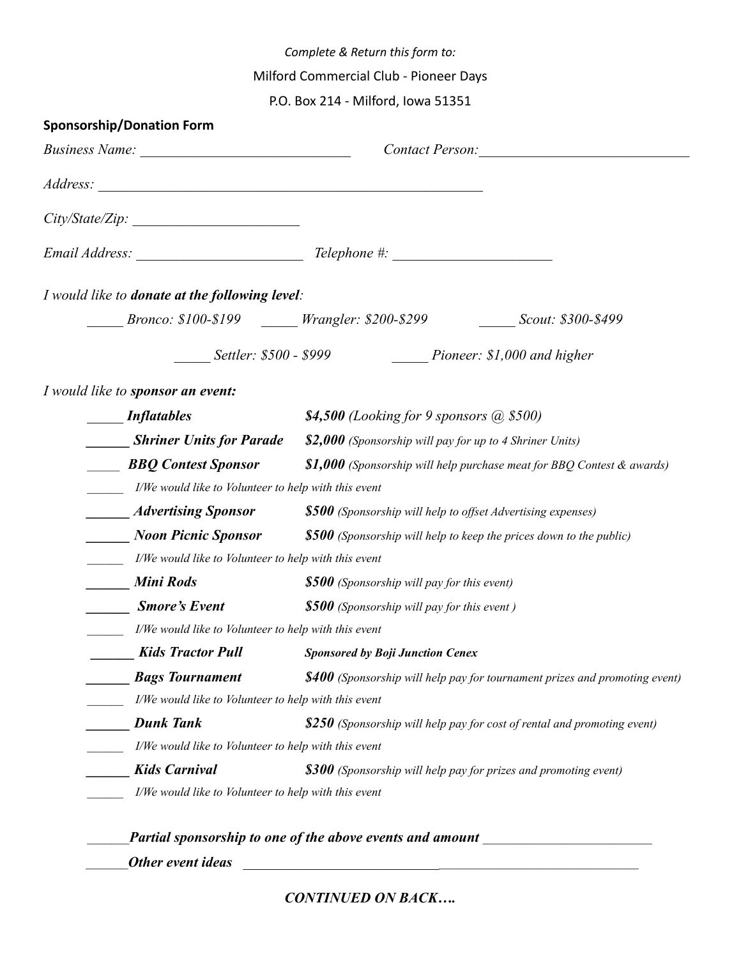*Complete & Return this form to:*

Milford Commercial Club - Pioneer Days

P.O. Box 214 - Milford, Iowa 51351

| <b>Sponsorship/Donation Form</b>                     |                                                                                    |
|------------------------------------------------------|------------------------------------------------------------------------------------|
|                                                      | Contact Person:                                                                    |
|                                                      |                                                                                    |
| $City\%tate\%ip:$                                    |                                                                                    |
|                                                      |                                                                                    |
| I would like to donate at the following level:       |                                                                                    |
|                                                      |                                                                                    |
|                                                      | Settler: \$500 - \$999 Pioneer: \$1,000 and higher                                 |
| I would like to sponsor an event:                    |                                                                                    |
| <i>Inflatables</i>                                   | \$4,500 (Looking for 9 sponsors $(a)$ \$500)                                       |
| <b>Shriner Units for Parade</b>                      | \$2,000 (Sponsorship will pay for up to 4 Shriner Units)                           |
| <b>BBQ</b> Contest Sponsor                           | <b>\$1,000</b> (Sponsorship will help purchase meat for BBQ Contest $\&$ awards)   |
| I/We would like to Volunteer to help with this event |                                                                                    |
| <i>Advertising Sponsor</i>                           | <b>\$500</b> (Sponsorship will help to offset Advertising expenses)                |
| <b>Noon Picnic Sponsor</b>                           | $$500$ (Sponsorship will help to keep the prices down to the public)               |
| I/We would like to Volunteer to help with this event |                                                                                    |
| <b>Mini Rods</b>                                     | <b>\$500</b> (Sponsorship will pay for this event)                                 |
| <b>Smore's Event</b>                                 | \$500 (Sponsorship will pay for this event)                                        |
| I/We would like to Volunteer to help with this event |                                                                                    |
| <b>Kids Tractor Pull</b>                             | <b>Sponsored by Boji Junction Cenex</b>                                            |
| <b>Bags Tournament</b>                               | <b>\$400</b> (Sponsorship will help pay for tournament prizes and promoting event) |
| I/We would like to Volunteer to help with this event |                                                                                    |
| <b>Dunk Tank</b>                                     | \$250 (Sponsorship will help pay for cost of rental and promoting event)           |
| I/We would like to Volunteer to help with this event |                                                                                    |
| <b>Kids Carnival</b>                                 | $$300$ (Sponsorship will help pay for prizes and promoting event)                  |
| I/We would like to Volunteer to help with this event |                                                                                    |

*CONTINUED ON BACK….*

*\_\_\_\_\_\_\_Other event ideas* \_\_\_\_\_\_\_\_\_\_\_\_\_\_\_\_\_\_\_\_\_\_\_\_\_\_\_\_\_\_\_\_\_\_\_\_\_\_\_\_\_\_\_\_\_\_\_\_\_\_\_\_\_\_\_\_\_\_\_\_